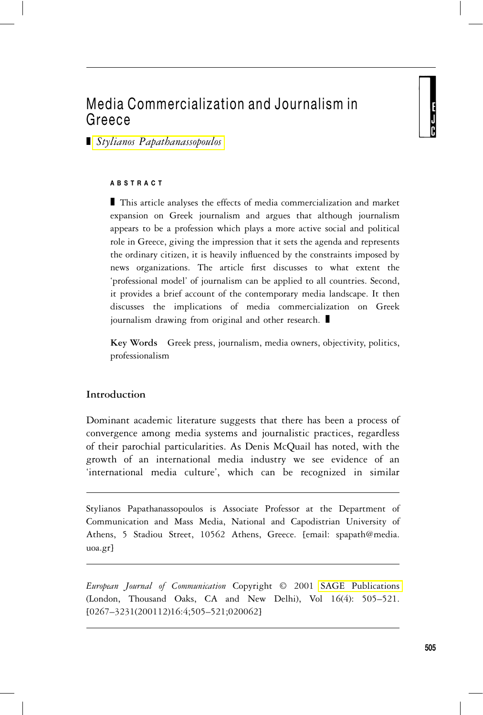# Media Commercialization and Journalism in Greece

■ *Stylianos Papathanassopoulos* 

### **ABSTRACT**

 $\blacksquare$  This article analyses the effects of media commercialization and market expansion on Greek journalism and argues that although journalism appears to be a profession which plays a more active social and political role in Greece, giving the impression that it sets the agenda and represents the ordinary citizen, it is heavily influenced by the constraints imposed by news organizations. The article first discusses to what extent the 'professional model' of journalism can be applied to all countries. Second, it provides a brief account of the contemporary media landscape. It then discusses the implications of media commercialization on Greek journalism drawing from original and other research.  $\blacksquare$ 

**Key Words** Greek press, journalism, media owners, objectivity, politics, professionalism

# **Introduction**

Dominant academic literature suggests that there has been a process of convergence among media systems and journalistic practices, regardless of their parochial particularities. As Denis McQuail has noted, with the growth of an international media industry we see evidence of an 'international media culture', which can be recognized in similar

Stylianos Papathanassopoulos is Associate Professor at the Department of Communication and Mass Media, National and Capodistrian University of Athens, 5 Stadiou Street, 10562 Athens, Greece. [email: spapath@media. uoa.gr]

*European Journal of Communication* Copyright © 2001 [SAGE Publications](http:\\www.sagepub.co.uk) (London, Thousand Oaks, CA and New Delhi), Vol 16(4): 505–521. [0267–3231(200112)16:4;505–521;020062]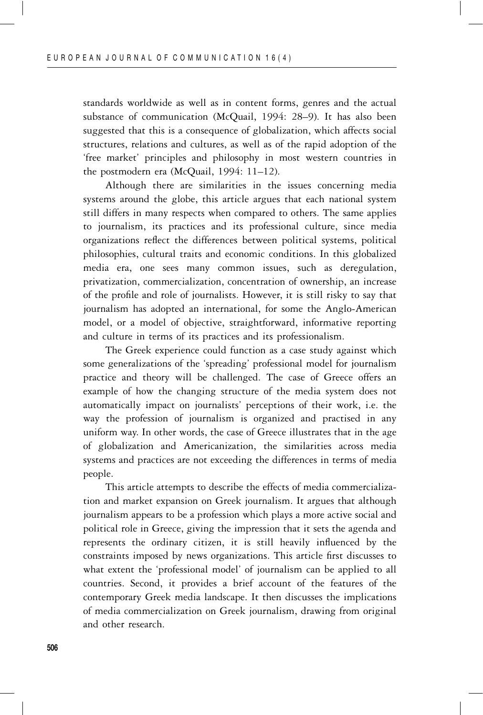standards worldwide as well as in content forms, genres and the actual substance of communication (McQuail, 1994: 28–9). It has also been suggested that this is a consequence of globalization, which affects social structures, relations and cultures, as well as of the rapid adoption of the 'free market' principles and philosophy in most western countries in the postmodern era (McQuail, 1994: 11–12).

Although there are similarities in the issues concerning media systems around the globe, this article argues that each national system still differs in many respects when compared to others. The same applies to journalism, its practices and its professional culture, since media organizations reflect the differences between political systems, political philosophies, cultural traits and economic conditions. In this globalized media era, one sees many common issues, such as deregulation, privatization, commercialization, concentration of ownership, an increase of the profile and role of journalists. However, it is still risky to say that journalism has adopted an international, for some the Anglo-American model, or a model of objective, straightforward, informative reporting and culture in terms of its practices and its professionalism.

The Greek experience could function as a case study against which some generalizations of the 'spreading' professional model for journalism practice and theory will be challenged. The case of Greece offers an example of how the changing structure of the media system does not automatically impact on journalists' perceptions of their work, i.e. the way the profession of journalism is organized and practised in any uniform way. In other words, the case of Greece illustrates that in the age of globalization and Americanization, the similarities across media systems and practices are not exceeding the differences in terms of media people.

This article attempts to describe the effects of media commercialization and market expansion on Greek journalism. It argues that although journalism appears to be a profession which plays a more active social and political role in Greece, giving the impression that it sets the agenda and represents the ordinary citizen, it is still heavily influenced by the constraints imposed by news organizations. This article first discusses to what extent the 'professional model' of journalism can be applied to all countries. Second, it provides a brief account of the features of the contemporary Greek media landscape. It then discusses the implications of media commercialization on Greek journalism, drawing from original and other research.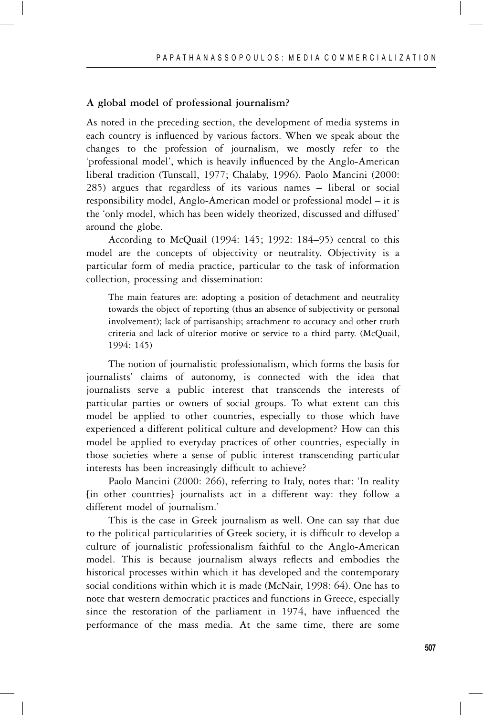## **A global model of professional journalism?**

As noted in the preceding section, the development of media systems in each country is influenced by various factors. When we speak about the changes to the profession of journalism, we mostly refer to the 'professional model', which is heavily influenced by the Anglo-American liberal tradition (Tunstall, 1977; Chalaby, 1996). Paolo Mancini (2000: 285) argues that regardless of its various names – liberal or social responsibility model, Anglo-American model or professional model – it is the 'only model, which has been widely theorized, discussed and diffused' around the globe.

According to McQuail (1994: 145; 1992: 184–95) central to this model are the concepts of objectivity or neutrality. Objectivity is a particular form of media practice, particular to the task of information collection, processing and dissemination:

The main features are: adopting a position of detachment and neutrality towards the object of reporting (thus an absence of subjectivity or personal involvement); lack of partisanship; attachment to accuracy and other truth criteria and lack of ulterior motive or service to a third party. (McQuail, 1994: 145)

The notion of journalistic professionalism, which forms the basis for journalists' claims of autonomy, is connected with the idea that journalists serve a public interest that transcends the interests of particular parties or owners of social groups. To what extent can this model be applied to other countries, especially to those which have experienced a different political culture and development? How can this model be applied to everyday practices of other countries, especially in those societies where a sense of public interest transcending particular interests has been increasingly difficult to achieve?

Paolo Mancini (2000: 266), referring to Italy, notes that: 'In reality [in other countries] journalists act in a different way: they follow a different model of journalism.'

This is the case in Greek journalism as well. One can say that due to the political particularities of Greek society, it is difficult to develop a culture of journalistic professionalism faithful to the Anglo-American model. This is because journalism always reflects and embodies the historical processes within which it has developed and the contemporary social conditions within which it is made (McNair, 1998: 64). One has to note that western democratic practices and functions in Greece, especially since the restoration of the parliament in 1974, have influenced the performance of the mass media. At the same time, there are some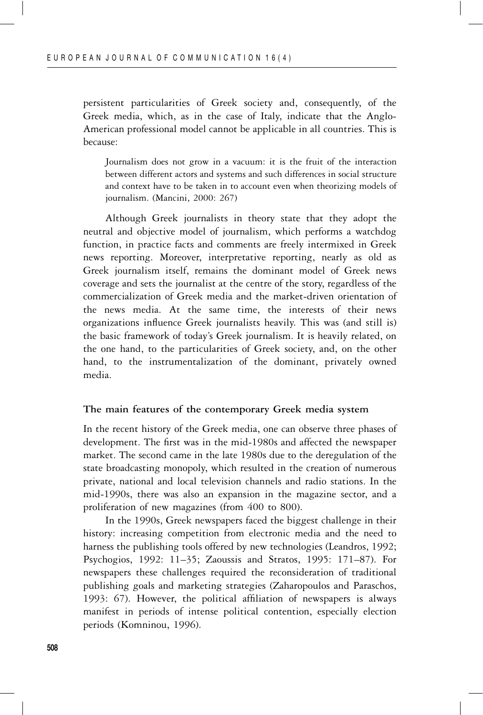persistent particularities of Greek society and, consequently, of the Greek media, which, as in the case of Italy, indicate that the Anglo-American professional model cannot be applicable in all countries. This is because:

Journalism does not grow in a vacuum: it is the fruit of the interaction between different actors and systems and such differences in social structure and context have to be taken in to account even when theorizing models of journalism. (Mancini, 2000: 267)

Although Greek journalists in theory state that they adopt the neutral and objective model of journalism, which performs a watchdog function, in practice facts and comments are freely intermixed in Greek news reporting. Moreover, interpretative reporting, nearly as old as Greek journalism itself, remains the dominant model of Greek news coverage and sets the journalist at the centre of the story, regardless of the commercialization of Greek media and the market-driven orientation of the news media. At the same time, the interests of their news organizations influence Greek journalists heavily. This was (and still is) the basic framework of today's Greek journalism. It is heavily related, on the one hand, to the particularities of Greek society, and, on the other hand, to the instrumentalization of the dominant, privately owned media.

### **The main features of the contemporary Greek media system**

In the recent history of the Greek media, one can observe three phases of development. The first was in the mid-1980s and affected the newspaper market. The second came in the late 1980s due to the deregulation of the state broadcasting monopoly, which resulted in the creation of numerous private, national and local television channels and radio stations. In the mid-1990s, there was also an expansion in the magazine sector, and a proliferation of new magazines (from 400 to 800).

In the 1990s, Greek newspapers faced the biggest challenge in their history: increasing competition from electronic media and the need to harness the publishing tools offered by new technologies (Leandros, 1992; Psychogios, 1992: 11–35; Zaoussis and Stratos, 1995: 171–87). For newspapers these challenges required the reconsideration of traditional publishing goals and marketing strategies (Zaharopoulos and Paraschos, 1993: 67). However, the political affiliation of newspapers is always manifest in periods of intense political contention, especially election periods (Komninou, 1996).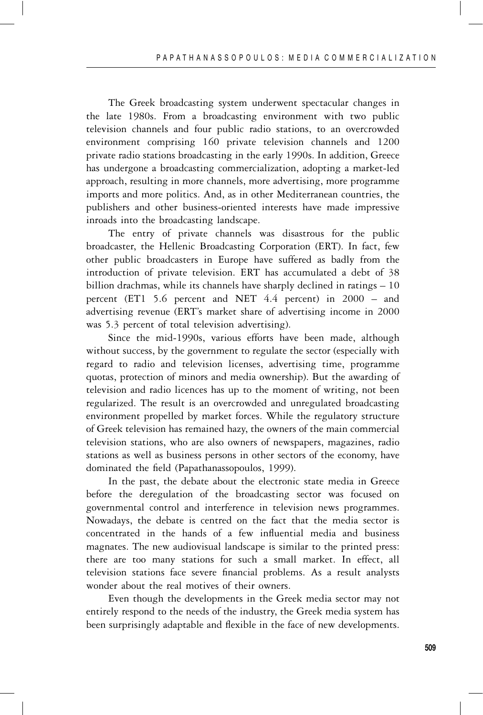The Greek broadcasting system underwent spectacular changes in the late 1980s. From a broadcasting environment with two public television channels and four public radio stations, to an overcrowded environment comprising 160 private television channels and 1200 private radio stations broadcasting in the early 1990s. In addition, Greece has undergone a broadcasting commercialization, adopting a market-led approach, resulting in more channels, more advertising, more programme imports and more politics. And, as in other Mediterranean countries, the publishers and other business-oriented interests have made impressive inroads into the broadcasting landscape.

The entry of private channels was disastrous for the public broadcaster, the Hellenic Broadcasting Corporation (ERT). In fact, few other public broadcasters in Europe have suffered as badly from the introduction of private television. ERT has accumulated a debt of 38 billion drachmas, while its channels have sharply declined in ratings – 10 percent (ET1 5.6 percent and NET 4.4 percent) in 2000 – and advertising revenue (ERT's market share of advertising income in 2000 was 5.3 percent of total television advertising).

Since the mid-1990s, various efforts have been made, although without success, by the government to regulate the sector (especially with regard to radio and television licenses, advertising time, programme quotas, protection of minors and media ownership). But the awarding of television and radio licences has up to the moment of writing, not been regularized. The result is an overcrowded and unregulated broadcasting environment propelled by market forces. While the regulatory structure of Greek television has remained hazy, the owners of the main commercial television stations, who are also owners of newspapers, magazines, radio stations as well as business persons in other sectors of the economy, have dominated the field (Papathanassopoulos, 1999).

In the past, the debate about the electronic state media in Greece before the deregulation of the broadcasting sector was focused on governmental control and interference in television news programmes. Nowadays, the debate is centred on the fact that the media sector is concentrated in the hands of a few influential media and business magnates. The new audiovisual landscape is similar to the printed press: there are too many stations for such a small market. In effect, all television stations face severe financial problems. As a result analysts wonder about the real motives of their owners.

Even though the developments in the Greek media sector may not entirely respond to the needs of the industry, the Greek media system has been surprisingly adaptable and flexible in the face of new developments.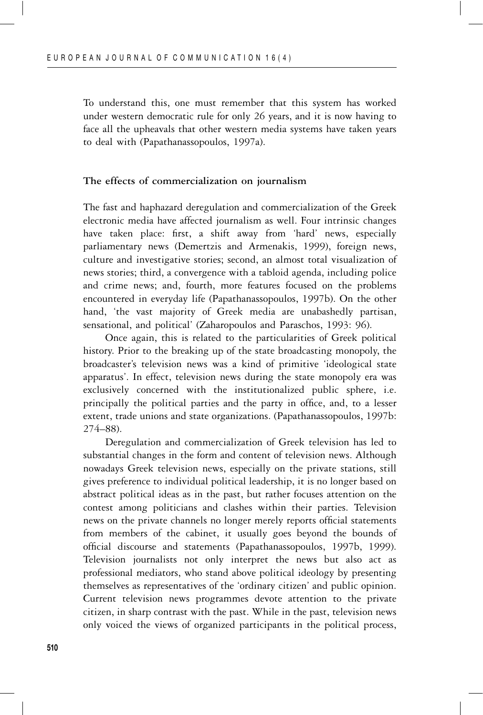To understand this, one must remember that this system has worked under western democratic rule for only 26 years, and it is now having to face all the upheavals that other western media systems have taken years to deal with (Papathanassopoulos, 1997a).

#### **The effects of commercialization on journalism**

The fast and haphazard deregulation and commercialization of the Greek electronic media have affected journalism as well. Four intrinsic changes have taken place: first, a shift away from 'hard' news, especially parliamentary news (Demertzis and Armenakis, 1999), foreign news, culture and investigative stories; second, an almost total visualization of news stories; third, a convergence with a tabloid agenda, including police and crime news; and, fourth, more features focused on the problems encountered in everyday life (Papathanassopoulos, 1997b). On the other hand, 'the vast majority of Greek media are unabashedly partisan, sensational, and political' (Zaharopoulos and Paraschos, 1993: 96).

Once again, this is related to the particularities of Greek political history. Prior to the breaking up of the state broadcasting monopoly, the broadcaster's television news was a kind of primitive 'ideological state apparatus'. In effect, television news during the state monopoly era was exclusively concerned with the institutionalized public sphere, i.e. principally the political parties and the party in office, and, to a lesser extent, trade unions and state organizations. (Papathanassopoulos, 1997b: 274–88).

Deregulation and commercialization of Greek television has led to substantial changes in the form and content of television news. Although nowadays Greek television news, especially on the private stations, still gives preference to individual political leadership, it is no longer based on abstract political ideas as in the past, but rather focuses attention on the contest among politicians and clashes within their parties. Television news on the private channels no longer merely reports official statements from members of the cabinet, it usually goes beyond the bounds of official discourse and statements (Papathanassopoulos, 1997b, 1999). Television journalists not only interpret the news but also act as professional mediators, who stand above political ideology by presenting themselves as representatives of the 'ordinary citizen' and public opinion. Current television news programmes devote attention to the private citizen, in sharp contrast with the past. While in the past, television news only voiced the views of organized participants in the political process,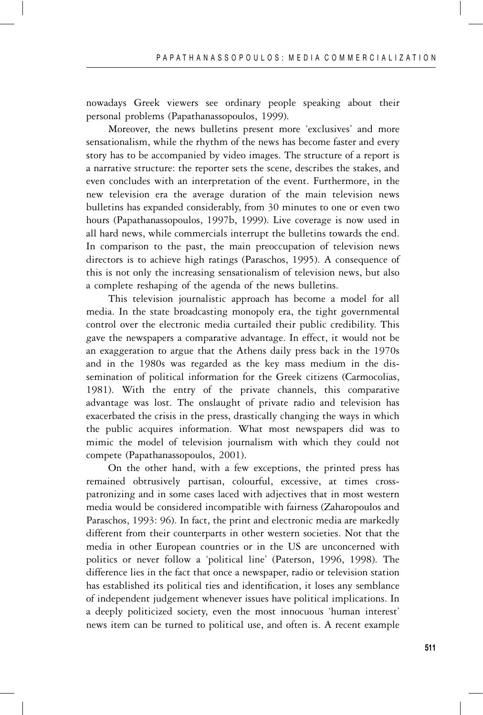nowadays Greek viewers see ordinary people speaking about their personal problems (Papathanassopoulos, 1999).

Moreover, the news bulletins present more 'exclusives' and more sensationalism, while the rhythm of the news has become faster and every story has to be accompanied by video images. The structure of a report is a narrative structure: the reporter sets the scene, describes the stakes, and even concludes with an interpretation of the event. Furthermore, in the new television era the average duration of the main television news bulletins has expanded considerably, from 30 minutes to one or even two hours (Papathanassopoulos, 1997b, 1999). Live coverage is now used in all hard news, while commercials interrupt the bulletins towards the end. In comparison to the past, the main preoccupation of television news directors is to achieve high ratings (Paraschos, 1995). A consequence of this is not only the increasing sensationalism of television news, but also a complete reshaping of the agenda of the news bulletins.

This television journalistic approach has become a model for all media. In the state broadcasting monopoly era, the tight governmental control over the electronic media curtailed their public credibility. This gave the newspapers a comparative advantage. In effect, it would not be an exaggeration to argue that the Athens daily press back in the 1970s and in the 1980s was regarded as the key mass medium in the dissemination of political information for the Greek citizens (Carmocolias, 1981). With the entry of the private channels, this comparative advantage was lost. The onslaught of private radio and television has exacerbated the crisis in the press, drastically changing the ways in which the public acquires information. What most newspapers did was to mimic the model of television journalism with which they could not compete (Papathanassopoulos, 2001).

On the other hand, with a few exceptions, the printed press has remained obtrusively partisan, colourful, excessive, at times crosspatronizing and in some cases laced with adjectives that in most western media would be considered incompatible with fairness (Zaharopoulos and Paraschos, 1993: 96). In fact, the print and electronic media are markedly different from their counterparts in other western societies. Not that the media in other European countries or in the US are unconcerned with politics or never follow a 'political line' (Paterson, 1996, 1998). The difference lies in the fact that once a newspaper, radio or television station has established its political ties and identification, it loses any semblance of independent judgement whenever issues have political implications. In a deeply politicized society, even the most innocuous 'human interest' news item can be turned to political use, and often is. A recent example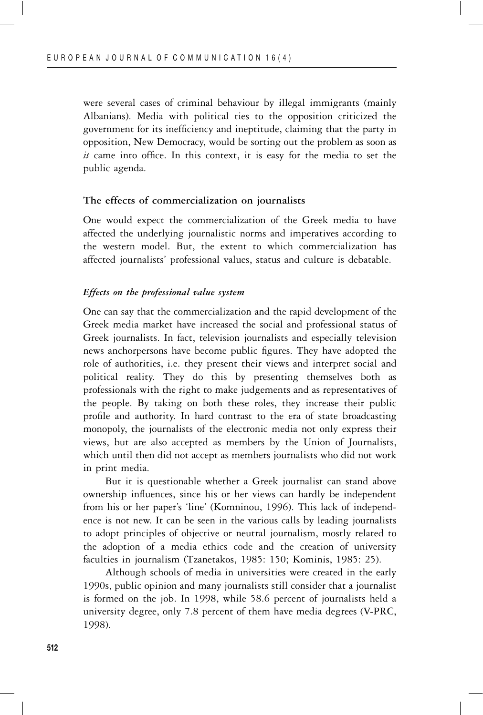were several cases of criminal behaviour by illegal immigrants (mainly Albanians). Media with political ties to the opposition criticized the government for its inefficiency and ineptitude, claiming that the party in opposition, New Democracy, would be sorting out the problem as soon as *it* came into office. In this context, it is easy for the media to set the public agenda.

#### **The effects of commercialization on journalists**

One would expect the commercialization of the Greek media to have affected the underlying journalistic norms and imperatives according to the western model. But, the extent to which commercialization has affected journalists' professional values, status and culture is debatable.

#### *Effects on the professional value system*

One can say that the commercialization and the rapid development of the Greek media market have increased the social and professional status of Greek journalists. In fact, television journalists and especially television news anchorpersons have become public figures. They have adopted the role of authorities, i.e. they present their views and interpret social and political reality. They do this by presenting themselves both as professionals with the right to make judgements and as representatives of the people. By taking on both these roles, they increase their public profile and authority. In hard contrast to the era of state broadcasting monopoly, the journalists of the electronic media not only express their views, but are also accepted as members by the Union of Journalists, which until then did not accept as members journalists who did not work in print media.

But it is questionable whether a Greek journalist can stand above ownership influences, since his or her views can hardly be independent from his or her paper's 'line' (Komninou, 1996). This lack of independence is not new. It can be seen in the various calls by leading journalists to adopt principles of objective or neutral journalism, mostly related to the adoption of a media ethics code and the creation of university faculties in journalism (Tzanetakos, 1985: 150; Kominis, 1985: 25).

Although schools of media in universities were created in the early 1990s, public opinion and many journalists still consider that a journalist is formed on the job. In 1998, while 58.6 percent of journalists held a university degree, only 7.8 percent of them have media degrees (V-PRC, 1998).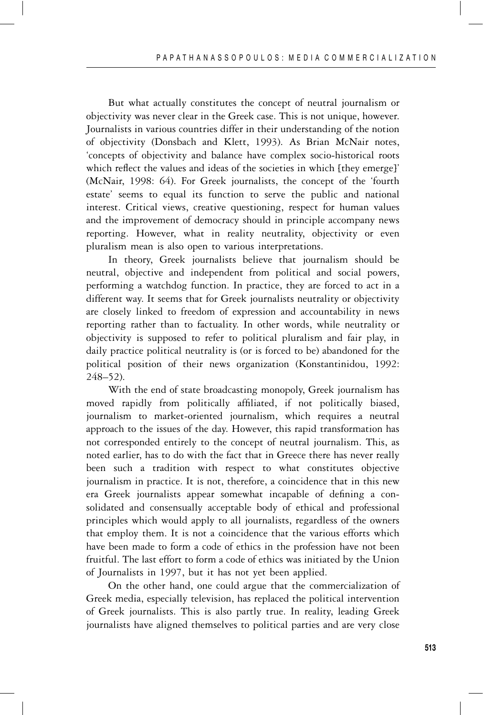But what actually constitutes the concept of neutral journalism or objectivity was never clear in the Greek case. This is not unique, however. Journalists in various countries differ in their understanding of the notion of objectivity (Donsbach and Klett, 1993). As Brian McNair notes, 'concepts of objectivity and balance have complex socio-historical roots which reflect the values and ideas of the societies in which [they emerge]' (McNair, 1998: 64). For Greek journalists, the concept of the 'fourth estate' seems to equal its function to serve the public and national interest. Critical views, creative questioning, respect for human values and the improvement of democracy should in principle accompany news reporting. However, what in reality neutrality, objectivity or even pluralism mean is also open to various interpretations.

In theory, Greek journalists believe that journalism should be neutral, objective and independent from political and social powers, performing a watchdog function. In practice, they are forced to act in a different way. It seems that for Greek journalists neutrality or objectivity are closely linked to freedom of expression and accountability in news reporting rather than to factuality. In other words, while neutrality or objectivity is supposed to refer to political pluralism and fair play, in daily practice political neutrality is (or is forced to be) abandoned for the political position of their news organization (Konstantinidou, 1992: 248–52).

With the end of state broadcasting monopoly, Greek journalism has moved rapidly from politically affiliated, if not politically biased, journalism to market-oriented journalism, which requires a neutral approach to the issues of the day. However, this rapid transformation has not corresponded entirely to the concept of neutral journalism. This, as noted earlier, has to do with the fact that in Greece there has never really been such a tradition with respect to what constitutes objective journalism in practice. It is not, therefore, a coincidence that in this new era Greek journalists appear somewhat incapable of defining a consolidated and consensually acceptable body of ethical and professional principles which would apply to all journalists, regardless of the owners that employ them. It is not a coincidence that the various efforts which have been made to form a code of ethics in the profession have not been fruitful. The last effort to form a code of ethics was initiated by the Union of Journalists in 1997, but it has not yet been applied.

On the other hand, one could argue that the commercialization of Greek media, especially television, has replaced the political intervention of Greek journalists. This is also partly true. In reality, leading Greek journalists have aligned themselves to political parties and are very close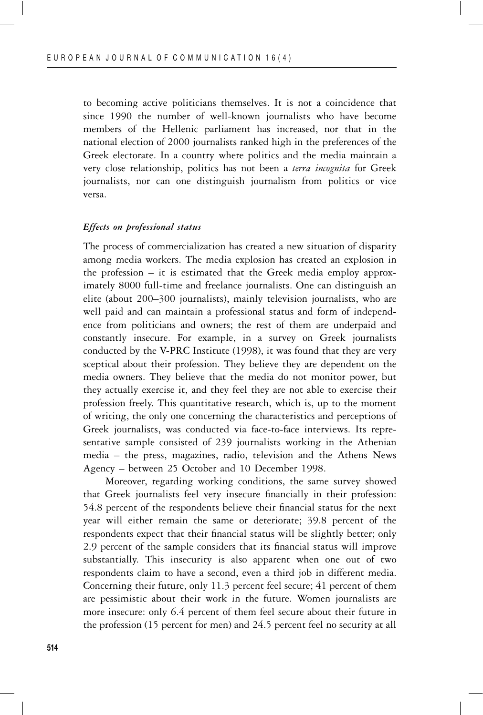to becoming active politicians themselves. It is not a coincidence that since 1990 the number of well-known journalists who have become members of the Hellenic parliament has increased, nor that in the national election of 2000 journalists ranked high in the preferences of the Greek electorate. In a country where politics and the media maintain a very close relationship, politics has not been a *terra incognita* for Greek journalists, nor can one distinguish journalism from politics or vice versa.

#### *Effects on professional status*

The process of commercialization has created a new situation of disparity among media workers. The media explosion has created an explosion in the profession – it is estimated that the Greek media employ approximately 8000 full-time and freelance journalists. One can distinguish an elite (about 200–300 journalists), mainly television journalists, who are well paid and can maintain a professional status and form of independence from politicians and owners; the rest of them are underpaid and constantly insecure. For example, in a survey on Greek journalists conducted by the V-PRC Institute (1998), it was found that they are very sceptical about their profession. They believe they are dependent on the media owners. They believe that the media do not monitor power, but they actually exercise it, and they feel they are not able to exercise their profession freely. This quantitative research, which is, up to the moment of writing, the only one concerning the characteristics and perceptions of Greek journalists, was conducted via face-to-face interviews. Its representative sample consisted of 239 journalists working in the Athenian media – the press, magazines, radio, television and the Athens News Agency – between 25 October and 10 December 1998.

Moreover, regarding working conditions, the same survey showed that Greek journalists feel very insecure financially in their profession: 54.8 percent of the respondents believe their financial status for the next year will either remain the same or deteriorate; 39.8 percent of the respondents expect that their financial status will be slightly better; only 2.9 percent of the sample considers that its financial status will improve substantially. This insecurity is also apparent when one out of two respondents claim to have a second, even a third job in different media. Concerning their future, only 11.3 percent feel secure; 41 percent of them are pessimistic about their work in the future. Women journalists are more insecure: only 6.4 percent of them feel secure about their future in the profession (15 percent for men) and 24.5 percent feel no security at all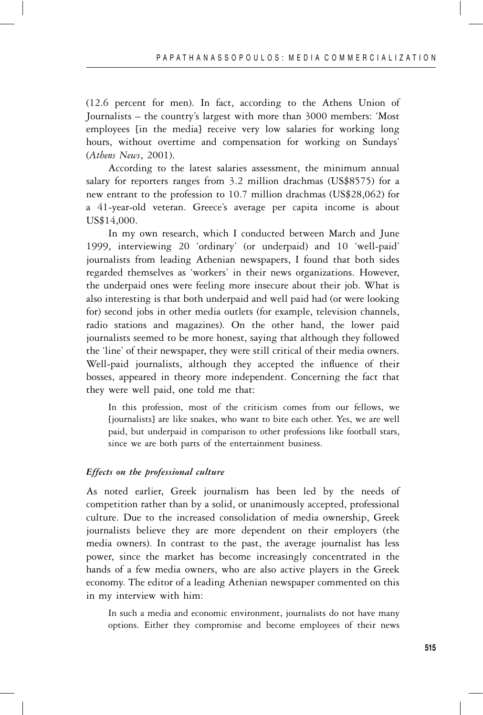(12.6 percent for men). In fact, according to the Athens Union of Journalists – the country's largest with more than 3000 members: 'Most employees [in the media] receive very low salaries for working long hours, without overtime and compensation for working on Sundays' (*Athens News*, 2001).

According to the latest salaries assessment, the minimum annual salary for reporters ranges from 3.2 million drachmas (US\$8575) for a new entrant to the profession to 10.7 million drachmas (US\$28,062) for a 41-year-old veteran. Greece's average per capita income is about US\$14,000.

In my own research, which I conducted between March and June 1999, interviewing 20 'ordinary' (or underpaid) and 10 'well-paid' journalists from leading Athenian newspapers, I found that both sides regarded themselves as 'workers' in their news organizations. However, the underpaid ones were feeling more insecure about their job. What is also interesting is that both underpaid and well paid had (or were looking for) second jobs in other media outlets (for example, television channels, radio stations and magazines). On the other hand, the lower paid journalists seemed to be more honest, saying that although they followed the 'line' of their newspaper, they were still critical of their media owners. Well-paid journalists, although they accepted the influence of their bosses, appeared in theory more independent. Concerning the fact that they were well paid, one told me that:

In this profession, most of the criticism comes from our fellows, we [journalists] are like snakes, who want to bite each other. Yes, we are well paid, but underpaid in comparison to other professions like football stars, since we are both parts of the entertainment business.

#### *Effects on the professional culture*

As noted earlier, Greek journalism has been led by the needs of competition rather than by a solid, or unanimously accepted, professional culture. Due to the increased consolidation of media ownership, Greek journalists believe they are more dependent on their employers (the media owners). In contrast to the past, the average journalist has less power, since the market has become increasingly concentrated in the hands of a few media owners, who are also active players in the Greek economy. The editor of a leading Athenian newspaper commented on this in my interview with him:

In such a media and economic environment, journalists do not have many options. Either they compromise and become employees of their news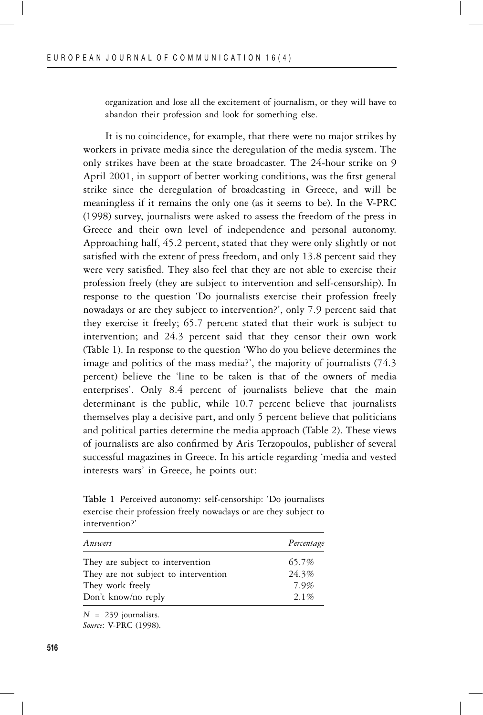organization and lose all the excitement of journalism, or they will have to abandon their profession and look for something else.

It is no coincidence, for example, that there were no major strikes by workers in private media since the deregulation of the media system. The only strikes have been at the state broadcaster. The 24-hour strike on 9 April 2001, in support of better working conditions, was the first general strike since the deregulation of broadcasting in Greece, and will be meaningless if it remains the only one (as it seems to be). In the V-PRC (1998) survey, journalists were asked to assess the freedom of the press in Greece and their own level of independence and personal autonomy. Approaching half, 45.2 percent, stated that they were only slightly or not satisfied with the extent of press freedom, and only 13.8 percent said they were very satisfied. They also feel that they are not able to exercise their profession freely (they are subject to intervention and self-censorship). In response to the question 'Do journalists exercise their profession freely nowadays or are they subject to intervention?', only 7.9 percent said that they exercise it freely; 65.7 percent stated that their work is subject to intervention; and 24.3 percent said that they censor their own work (Table 1). In response to the question 'Who do you believe determines the image and politics of the mass media?', the majority of journalists (74.3 percent) believe the 'line to be taken is that of the owners of media enterprises'. Only 8.4 percent of journalists believe that the main determinant is the public, while 10.7 percent believe that journalists themselves play a decisive part, and only 5 percent believe that politicians and political parties determine the media approach (Table 2). These views of journalists are also confirmed by Aris Terzopoulos, publisher of several successful magazines in Greece. In his article regarding 'media and vested interests wars' in Greece, he points out:

**Table 1** Perceived autonomy: self-censorship: 'Do journalists exercise their profession freely nowadays or are they subject to intervention?'

| Answers                              | Percentage |
|--------------------------------------|------------|
| They are subject to intervention     | 65.7%      |
| They are not subject to intervention | 24.3%      |
| They work freely                     | 7.9%       |
| Don't know/no reply                  | 2.1%       |

 $N = 239$  journalists.

*Source*: V-PRC (1998).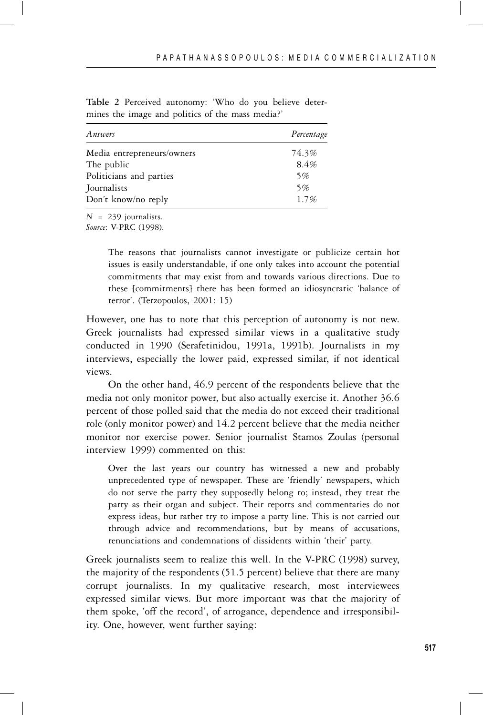| Answers                    | Percentage |
|----------------------------|------------|
| Media entrepreneurs/owners | 74.3%      |
| The public                 | 8.4%       |
| Politicians and parties    | 5%         |
| Journalists                | 5%         |
| Don't know/no reply        | 1.7%       |

**Table 2** Perceived autonomy: 'Who do you believe determines the image and politics of the mass media?'

 $N = 239$  journalists.

*Source*: V-PRC (1998).

The reasons that journalists cannot investigate or publicize certain hot issues is easily understandable, if one only takes into account the potential commitments that may exist from and towards various directions. Due to these [commitments] there has been formed an idiosyncratic 'balance of terror'. (Terzopoulos, 2001: 15)

However, one has to note that this perception of autonomy is not new. Greek journalists had expressed similar views in a qualitative study conducted in 1990 (Serafetinidou, 1991a, 1991b). Journalists in my interviews, especially the lower paid, expressed similar, if not identical views.

On the other hand, 46.9 percent of the respondents believe that the media not only monitor power, but also actually exercise it. Another 36.6 percent of those polled said that the media do not exceed their traditional role (only monitor power) and 14.2 percent believe that the media neither monitor nor exercise power. Senior journalist Stamos Zoulas (personal interview 1999) commented on this:

Over the last years our country has witnessed a new and probably unprecedented type of newspaper. These are 'friendly' newspapers, which do not serve the party they supposedly belong to; instead, they treat the party as their organ and subject. Their reports and commentaries do not express ideas, but rather try to impose a party line. This is not carried out through advice and recommendations, but by means of accusations, renunciations and condemnations of dissidents within 'their' party.

Greek journalists seem to realize this well. In the V-PRC (1998) survey, the majority of the respondents (51.5 percent) believe that there are many corrupt journalists. In my qualitative research, most interviewees expressed similar views. But more important was that the majority of them spoke, 'off the record', of arrogance, dependence and irresponsibility. One, however, went further saying: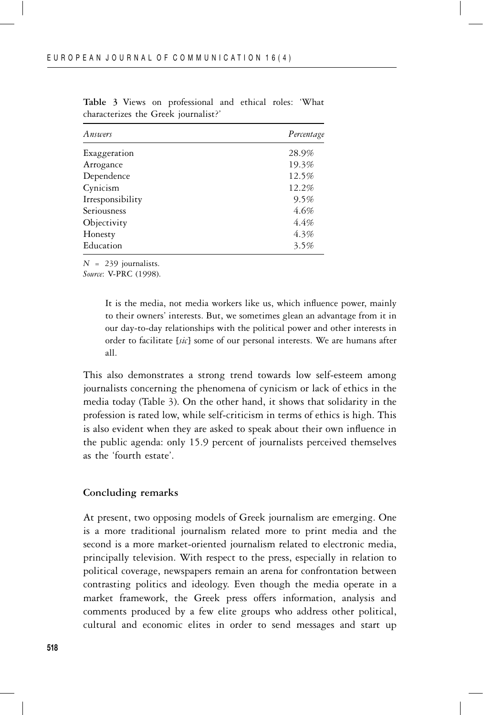| Answers          | Percentage |
|------------------|------------|
| Exaggeration     | 28.9%      |
| Arrogance        | 19.3%      |
| Dependence       | 12.5%      |
| Cynicism         | 12.2%      |
| Irresponsibility | 9.5%       |
| Seriousness      | 4.6%       |
| Objectivity      | 4.4%       |
| Honesty          | 4.3%       |
| Education        | 3.5%       |

**Table 3** Views on professional and ethical roles: 'What characterizes the Greek journalist?'

 $N = 239$  journalists.

*Source*: V-PRC (1998).

It is the media, not media workers like us, which influence power, mainly to their owners' interests. But, we sometimes glean an advantage from it in our day-to-day relationships with the political power and other interests in order to facilitate [*sic*] some of our personal interests. We are humans after all.

This also demonstrates a strong trend towards low self-esteem among journalists concerning the phenomena of cynicism or lack of ethics in the media today (Table 3). On the other hand, it shows that solidarity in the profession is rated low, while self-criticism in terms of ethics is high. This is also evident when they are asked to speak about their own influence in the public agenda: only 15.9 percent of journalists perceived themselves as the 'fourth estate'.

# **Concluding remarks**

At present, two opposing models of Greek journalism are emerging. One is a more traditional journalism related more to print media and the second is a more market-oriented journalism related to electronic media, principally television. With respect to the press, especially in relation to political coverage, newspapers remain an arena for confrontation between contrasting politics and ideology. Even though the media operate in a market framework, the Greek press offers information, analysis and comments produced by a few elite groups who address other political, cultural and economic elites in order to send messages and start up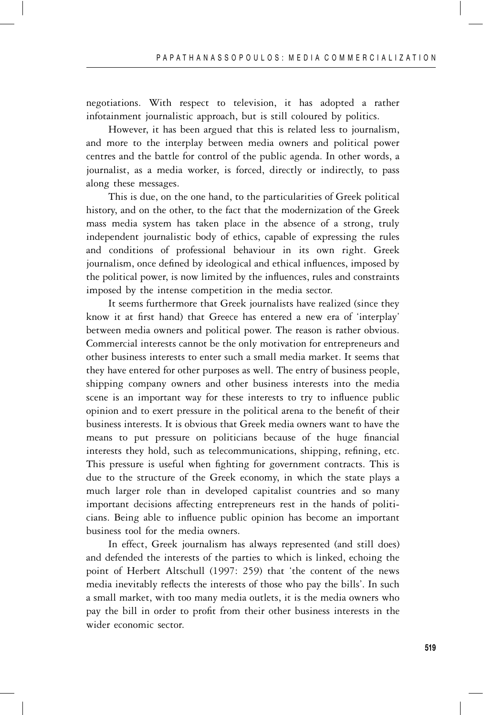negotiations. With respect to television, it has adopted a rather infotainment journalistic approach, but is still coloured by politics.

However, it has been argued that this is related less to journalism, and more to the interplay between media owners and political power centres and the battle for control of the public agenda. In other words, a journalist, as a media worker, is forced, directly or indirectly, to pass along these messages.

This is due, on the one hand, to the particularities of Greek political history, and on the other, to the fact that the modernization of the Greek mass media system has taken place in the absence of a strong, truly independent journalistic body of ethics, capable of expressing the rules and conditions of professional behaviour in its own right. Greek journalism, once defined by ideological and ethical influences, imposed by the political power, is now limited by the influences, rules and constraints imposed by the intense competition in the media sector.

It seems furthermore that Greek journalists have realized (since they know it at first hand) that Greece has entered a new era of 'interplay' between media owners and political power. The reason is rather obvious. Commercial interests cannot be the only motivation for entrepreneurs and other business interests to enter such a small media market. It seems that they have entered for other purposes as well. The entry of business people, shipping company owners and other business interests into the media scene is an important way for these interests to try to influence public opinion and to exert pressure in the political arena to the benefit of their business interests. It is obvious that Greek media owners want to have the means to put pressure on politicians because of the huge financial interests they hold, such as telecommunications, shipping, refining, etc. This pressure is useful when fighting for government contracts. This is due to the structure of the Greek economy, in which the state plays a much larger role than in developed capitalist countries and so many important decisions affecting entrepreneurs rest in the hands of politicians. Being able to influence public opinion has become an important business tool for the media owners.

In effect, Greek journalism has always represented (and still does) and defended the interests of the parties to which is linked, echoing the point of Herbert Altschull (1997: 259) that 'the content of the news media inevitably reflects the interests of those who pay the bills'. In such a small market, with too many media outlets, it is the media owners who pay the bill in order to profit from their other business interests in the wider economic sector.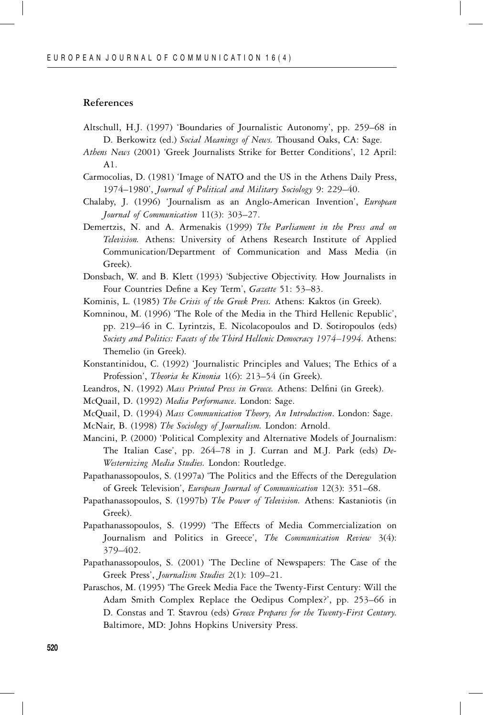#### **References**

- Altschull, H.J. (1997) 'Boundaries of Journalistic Autonomy', pp. 259–68 in D. Berkowitz (ed.) *Social Meanings of News.* Thousand Oaks, CA: Sage.
- *Athens News* (2001) 'Greek Journalists Strike for Better Conditions', 12 April: A1.
- Carmocolias, D. (1981) 'Image of NATO and the US in the Athens Daily Press, 1974–1980', *Journal of Political and Military Sociology* 9: 229–40.
- Chalaby, J. (1996) 'Journalism as an Anglo-American Invention', *European Journal of Communication* 11(3): 303–27.
- Demertzis, N. and A. Armenakis (1999) *The Parliament in the Press and on Television.* Athens: University of Athens Research Institute of Applied Communication/Department of Communication and Mass Media (in Greek).
- Donsbach, W. and B. Klett (1993) 'Subjective Objectivity. How Journalists in Four Countries Define a Key Term', *Gazette* 51: 53–83.
- Kominis, L. (1985) *The Crisis of the Greek Press.* Athens: Kaktos (in Greek).
- Komninou, M. (1996) 'The Role of the Media in the Third Hellenic Republic', pp. 219–46 in C. Lyrintzis, E. Nicolacopoulos and D. Sotiropoulos (eds) *Society and Politics: Facets of the Third Hellenic Democracy 1974–1994.* Athens: Themelio (in Greek).
- Konstantinidou, C. (1992) 'Journalistic Principles and Values; The Ethics of a Profession', *Theoria ke Kinonia* 1(6): 213–54 (in Greek).
- Leandros, N. (1992) *Mass Printed Press in Greece.* Athens: Delfini (in Greek).
- McQuail, D. (1992) *Media Performance*. London: Sage.
- McQuail, D. (1994) *Mass Communication Theory, An Introduction*. London: Sage.
- McNair, B. (1998) *The Sociology of Journalism.* London: Arnold.
- Mancini, P. (2000) 'Political Complexity and Alternative Models of Journalism: The Italian Case', pp. 264–78 in J. Curran and M.J. Park (eds) *De-Westernizing Media Studies.* London: Routledge.
- Papathanassopoulos, S. (1997a) 'The Politics and the Effects of the Deregulation of Greek Television', *European Journal of Communication* 12(3): 351–68.
- Papathanassopoulos, S. (1997b) *The Power of Television.* Athens: Kastaniotis (in Greek).
- Papathanassopoulos, S. (1999) 'The Effects of Media Commercialization on Journalism and Politics in Greece', *The Communication Review* 3(4): 379–402.
- Papathanassopoulos, S. (2001) 'The Decline of Newspapers: The Case of the Greek Press', *Journalism Studies* 2(1): 109–21.
- Paraschos, M. (1995) 'The Greek Media Face the Twenty-First Century: Will the Adam Smith Complex Replace the Oedipus Complex?', pp. 253–66 in D. Constas and T. Stavrou (eds) *Greece Prepares for the Twenty-First Century*. Baltimore, MD: Johns Hopkins University Press.